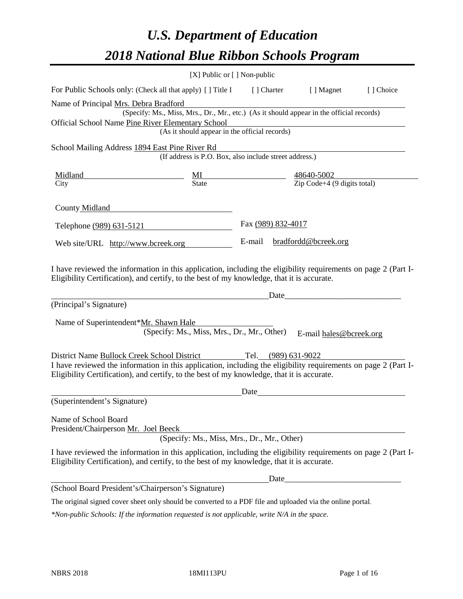# *U.S. Department of Education 2018 National Blue Ribbon Schools Program*

|                                                                                                                                                                                                              | [X] Public or [] Non-public                            |                    |                                                                                                                      |           |
|--------------------------------------------------------------------------------------------------------------------------------------------------------------------------------------------------------------|--------------------------------------------------------|--------------------|----------------------------------------------------------------------------------------------------------------------|-----------|
| For Public Schools only: (Check all that apply) [] Title I                                                                                                                                                   |                                                        | [ ] Charter        | [ ] Magnet                                                                                                           | [] Choice |
| Name of Principal Mrs. Debra Bradford                                                                                                                                                                        |                                                        |                    |                                                                                                                      |           |
|                                                                                                                                                                                                              |                                                        |                    | (Specify: Ms., Miss, Mrs., Dr., Mr., etc.) (As it should appear in the official records)                             |           |
| Official School Name Pine River Elementary School                                                                                                                                                            |                                                        |                    |                                                                                                                      |           |
|                                                                                                                                                                                                              | (As it should appear in the official records)          |                    |                                                                                                                      |           |
| School Mailing Address 1894 East Pine River Rd                                                                                                                                                               |                                                        |                    |                                                                                                                      |           |
|                                                                                                                                                                                                              | (If address is P.O. Box, also include street address.) |                    |                                                                                                                      |           |
| <b>Midland</b>                                                                                                                                                                                               |                                                        |                    |                                                                                                                      |           |
| City                                                                                                                                                                                                         |                                                        |                    | $\frac{\text{MI}}{\text{State}}$ $\frac{48640 - 5002}{\text{Zip Code} + 4 (9 \text{ digits total})}$                 |           |
| County Midland                                                                                                                                                                                               |                                                        |                    |                                                                                                                      |           |
| Telephone (989) 631-5121                                                                                                                                                                                     |                                                        | Fax (989) 832-4017 |                                                                                                                      |           |
| Web site/URL http://www.bcreek.org                                                                                                                                                                           |                                                        | E-mail             | bradfordd@bcreek.org                                                                                                 |           |
| (Principal's Signature)<br>Name of Superintendent*Mr. Shawn Hale                                                                                                                                             | (Specify: Ms., Miss, Mrs., Dr., Mr., Other)            | Date               | E-mail hales@bcreek.org                                                                                              |           |
| District Name Bullock Creek School District                                                                                                                                                                  |                                                        |                    | Tel. (989) 631-9022                                                                                                  |           |
| I have reviewed the information in this application, including the eligibility requirements on page 2 (Part I-<br>Eligibility Certification), and certify, to the best of my knowledge, that it is accurate. |                                                        |                    |                                                                                                                      |           |
|                                                                                                                                                                                                              |                                                        | Date               |                                                                                                                      |           |
| (Superintendent's Signature)                                                                                                                                                                                 |                                                        |                    |                                                                                                                      |           |
| Name of School Board<br>President/Chairperson Mr. Joel Beeck                                                                                                                                                 | (Specify: Ms., Miss, Mrs., Dr., Mr., Other)            |                    |                                                                                                                      |           |
| I have reviewed the information in this application, including the eligibility requirements on page 2 (Part I-<br>Eligibility Certification), and certify, to the best of my knowledge, that it is accurate. |                                                        |                    |                                                                                                                      |           |
|                                                                                                                                                                                                              |                                                        | Date               | <u> 1980 - Jan James James Jan James James Jan James James Jan James James Jan Jan James Jan Jan Jan Jan Jan Jan</u> |           |
| (School Board President's/Chairperson's Signature)                                                                                                                                                           |                                                        |                    |                                                                                                                      |           |
| The original signed cover sheet only should be converted to a PDF file and uploaded via the online portal.                                                                                                   |                                                        |                    |                                                                                                                      |           |

*\*Non-public Schools: If the information requested is not applicable, write N/A in the space.*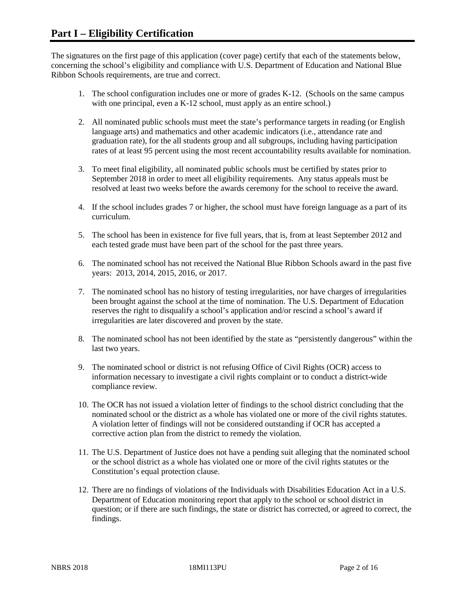The signatures on the first page of this application (cover page) certify that each of the statements below, concerning the school's eligibility and compliance with U.S. Department of Education and National Blue Ribbon Schools requirements, are true and correct.

- 1. The school configuration includes one or more of grades K-12. (Schools on the same campus with one principal, even a K-12 school, must apply as an entire school.)
- 2. All nominated public schools must meet the state's performance targets in reading (or English language arts) and mathematics and other academic indicators (i.e., attendance rate and graduation rate), for the all students group and all subgroups, including having participation rates of at least 95 percent using the most recent accountability results available for nomination.
- 3. To meet final eligibility, all nominated public schools must be certified by states prior to September 2018 in order to meet all eligibility requirements. Any status appeals must be resolved at least two weeks before the awards ceremony for the school to receive the award.
- 4. If the school includes grades 7 or higher, the school must have foreign language as a part of its curriculum.
- 5. The school has been in existence for five full years, that is, from at least September 2012 and each tested grade must have been part of the school for the past three years.
- 6. The nominated school has not received the National Blue Ribbon Schools award in the past five years: 2013, 2014, 2015, 2016, or 2017.
- 7. The nominated school has no history of testing irregularities, nor have charges of irregularities been brought against the school at the time of nomination. The U.S. Department of Education reserves the right to disqualify a school's application and/or rescind a school's award if irregularities are later discovered and proven by the state.
- 8. The nominated school has not been identified by the state as "persistently dangerous" within the last two years.
- 9. The nominated school or district is not refusing Office of Civil Rights (OCR) access to information necessary to investigate a civil rights complaint or to conduct a district-wide compliance review.
- 10. The OCR has not issued a violation letter of findings to the school district concluding that the nominated school or the district as a whole has violated one or more of the civil rights statutes. A violation letter of findings will not be considered outstanding if OCR has accepted a corrective action plan from the district to remedy the violation.
- 11. The U.S. Department of Justice does not have a pending suit alleging that the nominated school or the school district as a whole has violated one or more of the civil rights statutes or the Constitution's equal protection clause.
- 12. There are no findings of violations of the Individuals with Disabilities Education Act in a U.S. Department of Education monitoring report that apply to the school or school district in question; or if there are such findings, the state or district has corrected, or agreed to correct, the findings.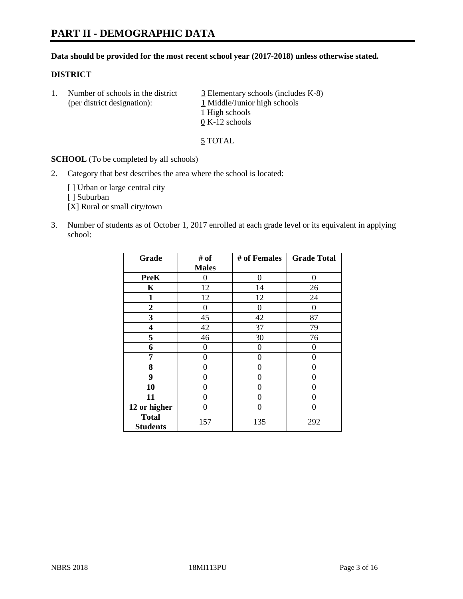# **PART II - DEMOGRAPHIC DATA**

# **Data should be provided for the most recent school year (2017-2018) unless otherwise stated.**

#### **DISTRICT**

1. Number of schools in the district  $\frac{3}{2}$  Elementary schools (includes K-8) (per district designation): 1 Middle/Junior high schools 1 High schools 0 K-12 schools

5 TOTAL

**SCHOOL** (To be completed by all schools)

2. Category that best describes the area where the school is located:

[] Urban or large central city

[ ] Suburban

[X] Rural or small city/town

3. Number of students as of October 1, 2017 enrolled at each grade level or its equivalent in applying school:

| Grade                           | # of         | # of Females | <b>Grade Total</b> |
|---------------------------------|--------------|--------------|--------------------|
|                                 | <b>Males</b> |              |                    |
| <b>PreK</b>                     | 0            | 0            | 0                  |
| $\mathbf K$                     | 12           | 14           | 26                 |
| $\mathbf{1}$                    | 12           | 12           | 24                 |
| 2                               | 0            | 0            | $\Omega$           |
| 3                               | 45           | 42           | 87                 |
| 4                               | 42           | 37           | 79                 |
| 5                               | 46           | 30           | 76                 |
| 6                               | 0            | 0            | 0                  |
| 7                               | 0            | 0            | 0                  |
| 8                               | 0            | 0            | 0                  |
| 9                               | 0            | 0            | 0                  |
| 10                              | 0            | 0            | 0                  |
| 11                              | 0            | 0            | 0                  |
| 12 or higher                    | 0            | 0            | 0                  |
| <b>Total</b><br><b>Students</b> | 157          | 135          | 292                |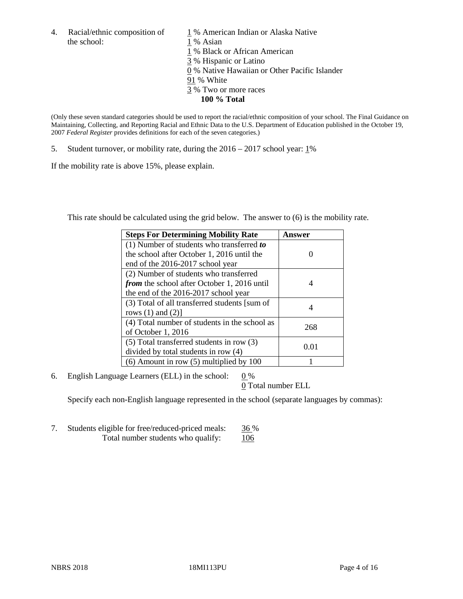the school: 1 % Asian

4. Racial/ethnic composition of  $1\%$  American Indian or Alaska Native

1 % Black or African American

3 % Hispanic or Latino

0 % Native Hawaiian or Other Pacific Islander

91 % White

- 3 % Two or more races
	- **100 % Total**

(Only these seven standard categories should be used to report the racial/ethnic composition of your school. The Final Guidance on Maintaining, Collecting, and Reporting Racial and Ethnic Data to the U.S. Department of Education published in the October 19, 2007 *Federal Register* provides definitions for each of the seven categories.)

5. Student turnover, or mobility rate, during the 2016 – 2017 school year: 1%

If the mobility rate is above 15%, please explain.

This rate should be calculated using the grid below. The answer to (6) is the mobility rate.

| <b>Steps For Determining Mobility Rate</b>         | Answer |  |
|----------------------------------------------------|--------|--|
| (1) Number of students who transferred to          |        |  |
| the school after October 1, 2016 until the         |        |  |
| end of the 2016-2017 school year                   |        |  |
| (2) Number of students who transferred             |        |  |
| <i>from</i> the school after October 1, 2016 until | 4      |  |
| the end of the 2016-2017 school year               |        |  |
| (3) Total of all transferred students [sum of      |        |  |
| rows $(1)$ and $(2)$ ]                             | 4      |  |
| (4) Total number of students in the school as      |        |  |
| of October 1, 2016                                 | 268    |  |
| $(5)$ Total transferred students in row $(3)$      |        |  |
| divided by total students in row (4)               | 0.01   |  |
| $(6)$ Amount in row $(5)$ multiplied by 100        |        |  |

6. English Language Learners (ELL) in the school:  $0\%$ 

0 Total number ELL

Specify each non-English language represented in the school (separate languages by commas):

7. Students eligible for free/reduced-priced meals: 36 % Total number students who qualify: 106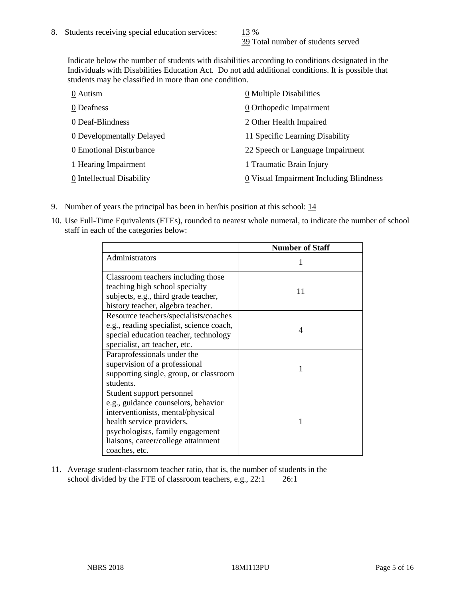39 Total number of students served

Indicate below the number of students with disabilities according to conditions designated in the Individuals with Disabilities Education Act. Do not add additional conditions. It is possible that students may be classified in more than one condition.

| 0 Autism                  | 0 Multiple Disabilities                 |
|---------------------------|-----------------------------------------|
| 0 Deafness                | 0 Orthopedic Impairment                 |
| 0 Deaf-Blindness          | 2 Other Health Impaired                 |
| 0 Developmentally Delayed | 11 Specific Learning Disability         |
| 0 Emotional Disturbance   | 22 Speech or Language Impairment        |
| 1 Hearing Impairment      | 1 Traumatic Brain Injury                |
| 0 Intellectual Disability | 0 Visual Impairment Including Blindness |

- 9. Number of years the principal has been in her/his position at this school: 14
- 10. Use Full-Time Equivalents (FTEs), rounded to nearest whole numeral, to indicate the number of school staff in each of the categories below:

|                                                                                                                                                                                                                                | <b>Number of Staff</b> |
|--------------------------------------------------------------------------------------------------------------------------------------------------------------------------------------------------------------------------------|------------------------|
| Administrators                                                                                                                                                                                                                 |                        |
| Classroom teachers including those<br>teaching high school specialty<br>subjects, e.g., third grade teacher,<br>history teacher, algebra teacher.                                                                              | 11                     |
| Resource teachers/specialists/coaches<br>e.g., reading specialist, science coach,<br>special education teacher, technology<br>specialist, art teacher, etc.                                                                    | 4                      |
| Paraprofessionals under the<br>supervision of a professional<br>supporting single, group, or classroom<br>students.                                                                                                            | 1                      |
| Student support personnel<br>e.g., guidance counselors, behavior<br>interventionists, mental/physical<br>health service providers,<br>psychologists, family engagement<br>liaisons, career/college attainment<br>coaches, etc. |                        |

11. Average student-classroom teacher ratio, that is, the number of students in the school divided by the FTE of classroom teachers, e.g., 22:1 26:1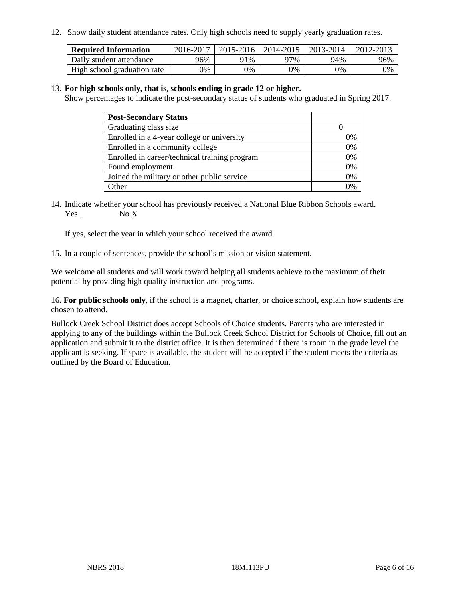12. Show daily student attendance rates. Only high schools need to supply yearly graduation rates.

| <b>Required Information</b> | 2016-2017 | 2015-2016 | 2014-2015 | 2013-2014 | 2012-2013 |
|-----------------------------|-----------|-----------|-----------|-----------|-----------|
| Daily student attendance    | 96%       | 91%       | 97%       | 94%       | 96%       |
| High school graduation rate | 0%        | 0%        | 0%        | 9%        | 0%        |

#### 13. **For high schools only, that is, schools ending in grade 12 or higher.**

Show percentages to indicate the post-secondary status of students who graduated in Spring 2017.

| <b>Post-Secondary Status</b>                  |              |
|-----------------------------------------------|--------------|
| Graduating class size                         |              |
| Enrolled in a 4-year college or university    | 0%           |
| Enrolled in a community college               | 0%           |
| Enrolled in career/technical training program | 0%           |
| Found employment                              | 0%           |
| Joined the military or other public service   | 0%           |
| Other                                         | $\gamma_{0}$ |

14. Indicate whether your school has previously received a National Blue Ribbon Schools award. Yes No X

If yes, select the year in which your school received the award.

15. In a couple of sentences, provide the school's mission or vision statement.

We welcome all students and will work toward helping all students achieve to the maximum of their potential by providing high quality instruction and programs.

16. **For public schools only**, if the school is a magnet, charter, or choice school, explain how students are chosen to attend.

Bullock Creek School District does accept Schools of Choice students. Parents who are interested in applying to any of the buildings within the Bullock Creek School District for Schools of Choice, fill out an application and submit it to the district office. It is then determined if there is room in the grade level the applicant is seeking. If space is available, the student will be accepted if the student meets the criteria as outlined by the Board of Education.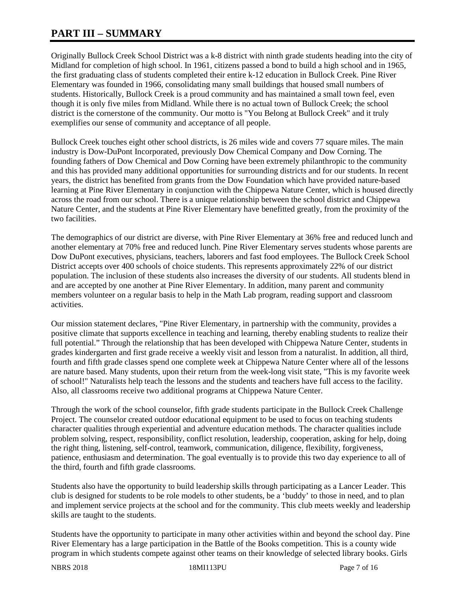# **PART III – SUMMARY**

Originally Bullock Creek School District was a k-8 district with ninth grade students heading into the city of Midland for completion of high school. In 1961, citizens passed a bond to build a high school and in 1965, the first graduating class of students completed their entire k-12 education in Bullock Creek. Pine River Elementary was founded in 1966, consolidating many small buildings that housed small numbers of students. Historically, Bullock Creek is a proud community and has maintained a small town feel, even though it is only five miles from Midland. While there is no actual town of Bullock Creek; the school district is the cornerstone of the community. Our motto is "You Belong at Bullock Creek" and it truly exemplifies our sense of community and acceptance of all people.

Bullock Creek touches eight other school districts, is 26 miles wide and covers 77 square miles. The main industry is Dow-DuPont Incorporated, previously Dow Chemical Company and Dow Corning. The founding fathers of Dow Chemical and Dow Corning have been extremely philanthropic to the community and this has provided many additional opportunities for surrounding districts and for our students. In recent years, the district has benefited from grants from the Dow Foundation which have provided nature-based learning at Pine River Elementary in conjunction with the Chippewa Nature Center, which is housed directly across the road from our school. There is a unique relationship between the school district and Chippewa Nature Center, and the students at Pine River Elementary have benefitted greatly, from the proximity of the two facilities.

The demographics of our district are diverse, with Pine River Elementary at 36% free and reduced lunch and another elementary at 70% free and reduced lunch. Pine River Elementary serves students whose parents are Dow DuPont executives, physicians, teachers, laborers and fast food employees. The Bullock Creek School District accepts over 400 schools of choice students. This represents approximately 22% of our district population. The inclusion of these students also increases the diversity of our students. All students blend in and are accepted by one another at Pine River Elementary. In addition, many parent and community members volunteer on a regular basis to help in the Math Lab program, reading support and classroom activities.

Our mission statement declares, "Pine River Elementary, in partnership with the community, provides a positive climate that supports excellence in teaching and learning, thereby enabling students to realize their full potential." Through the relationship that has been developed with Chippewa Nature Center, students in grades kindergarten and first grade receive a weekly visit and lesson from a naturalist. In addition, all third, fourth and fifth grade classes spend one complete week at Chippewa Nature Center where all of the lessons are nature based. Many students, upon their return from the week-long visit state, "This is my favorite week of school!" Naturalists help teach the lessons and the students and teachers have full access to the facility. Also, all classrooms receive two additional programs at Chippewa Nature Center.

Through the work of the school counselor, fifth grade students participate in the Bullock Creek Challenge Project. The counselor created outdoor educational equipment to be used to focus on teaching students character qualities through experiential and adventure education methods. The character qualities include problem solving, respect, responsibility, conflict resolution, leadership, cooperation, asking for help, doing the right thing, listening, self-control, teamwork, communication, diligence, flexibility, forgiveness, patience, enthusiasm and determination. The goal eventually is to provide this two day experience to all of the third, fourth and fifth grade classrooms.

Students also have the opportunity to build leadership skills through participating as a Lancer Leader. This club is designed for students to be role models to other students, be a 'buddy' to those in need, and to plan and implement service projects at the school and for the community. This club meets weekly and leadership skills are taught to the students.

Students have the opportunity to participate in many other activities within and beyond the school day. Pine River Elementary has a large participation in the Battle of the Books competition. This is a county wide program in which students compete against other teams on their knowledge of selected library books. Girls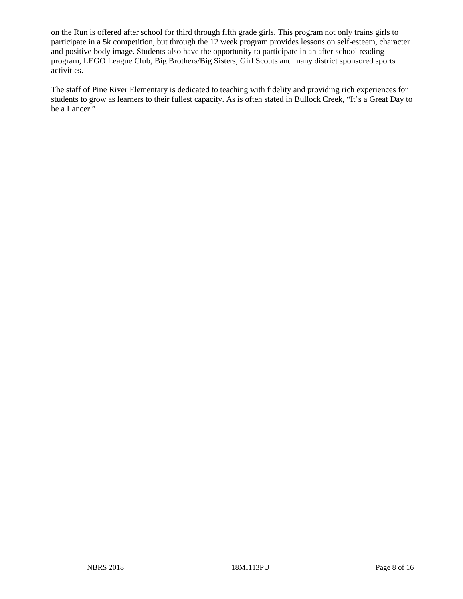on the Run is offered after school for third through fifth grade girls. This program not only trains girls to participate in a 5k competition, but through the 12 week program provides lessons on self-esteem, character and positive body image. Students also have the opportunity to participate in an after school reading program, LEGO League Club, Big Brothers/Big Sisters, Girl Scouts and many district sponsored sports activities.

The staff of Pine River Elementary is dedicated to teaching with fidelity and providing rich experiences for students to grow as learners to their fullest capacity. As is often stated in Bullock Creek, "It's a Great Day to be a Lancer."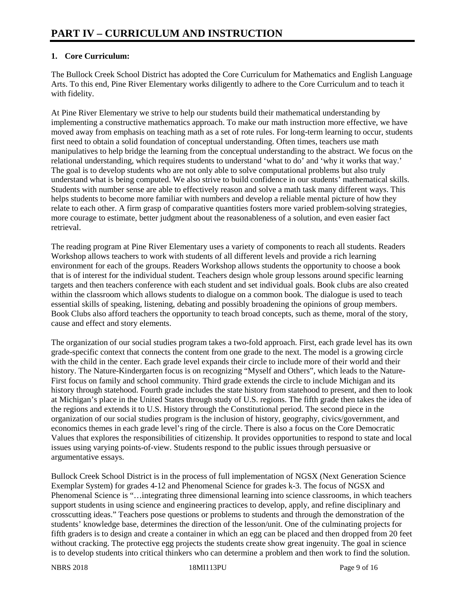# **1. Core Curriculum:**

The Bullock Creek School District has adopted the Core Curriculum for Mathematics and English Language Arts. To this end, Pine River Elementary works diligently to adhere to the Core Curriculum and to teach it with fidelity.

At Pine River Elementary we strive to help our students build their mathematical understanding by implementing a constructive mathematics approach. To make our math instruction more effective, we have moved away from emphasis on teaching math as a set of rote rules. For long-term learning to occur, students first need to obtain a solid foundation of conceptual understanding. Often times, teachers use math manipulatives to help bridge the learning from the conceptual understanding to the abstract. We focus on the relational understanding, which requires students to understand 'what to do' and 'why it works that way.' The goal is to develop students who are not only able to solve computational problems but also truly understand what is being computed. We also strive to build confidence in our students' mathematical skills. Students with number sense are able to effectively reason and solve a math task many different ways. This helps students to become more familiar with numbers and develop a reliable mental picture of how they relate to each other. A firm grasp of comparative quantities fosters more varied problem-solving strategies, more courage to estimate, better judgment about the reasonableness of a solution, and even easier fact retrieval.

The reading program at Pine River Elementary uses a variety of components to reach all students. Readers Workshop allows teachers to work with students of all different levels and provide a rich learning environment for each of the groups. Readers Workshop allows students the opportunity to choose a book that is of interest for the individual student. Teachers design whole group lessons around specific learning targets and then teachers conference with each student and set individual goals. Book clubs are also created within the classroom which allows students to dialogue on a common book. The dialogue is used to teach essential skills of speaking, listening, debating and possibly broadening the opinions of group members. Book Clubs also afford teachers the opportunity to teach broad concepts, such as theme, moral of the story, cause and effect and story elements.

The organization of our social studies program takes a two-fold approach. First, each grade level has its own grade-specific context that connects the content from one grade to the next. The model is a growing circle with the child in the center. Each grade level expands their circle to include more of their world and their history. The Nature-Kindergarten focus is on recognizing "Myself and Others", which leads to the Nature-First focus on family and school community. Third grade extends the circle to include Michigan and its history through statehood. Fourth grade includes the state history from statehood to present, and then to look at Michigan's place in the United States through study of U.S. regions. The fifth grade then takes the idea of the regions and extends it to U.S. History through the Constitutional period. The second piece in the organization of our social studies program is the inclusion of history, geography, civics/government, and economics themes in each grade level's ring of the circle. There is also a focus on the Core Democratic Values that explores the responsibilities of citizenship. It provides opportunities to respond to state and local issues using varying points-of-view. Students respond to the public issues through persuasive or argumentative essays.

Bullock Creek School District is in the process of full implementation of NGSX (Next Generation Science Exemplar System) for grades 4-12 and Phenomenal Science for grades k-3. The focus of NGSX and Phenomenal Science is "…integrating three dimensional learning into science classrooms, in which teachers support students in using science and engineering practices to develop, apply, and refine disciplinary and crosscutting ideas." Teachers pose questions or problems to students and through the demonstration of the students' knowledge base, determines the direction of the lesson/unit. One of the culminating projects for fifth graders is to design and create a container in which an egg can be placed and then dropped from 20 feet without cracking. The protective egg projects the students create show great ingenuity. The goal in science is to develop students into critical thinkers who can determine a problem and then work to find the solution.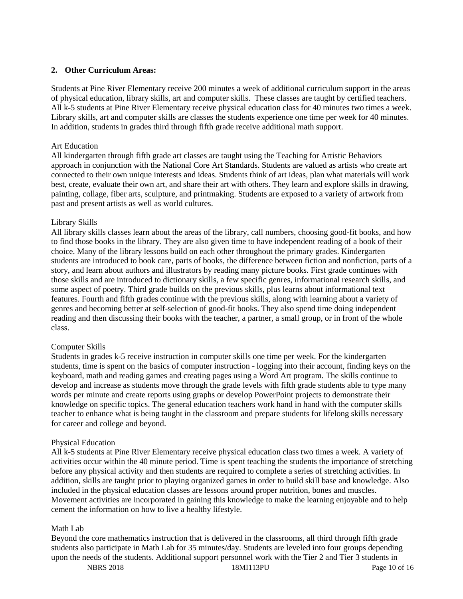# **2. Other Curriculum Areas:**

Students at Pine River Elementary receive 200 minutes a week of additional curriculum support in the areas of physical education, library skills, art and computer skills. These classes are taught by certified teachers. All k-5 students at Pine River Elementary receive physical education class for 40 minutes two times a week. Library skills, art and computer skills are classes the students experience one time per week for 40 minutes. In addition, students in grades third through fifth grade receive additional math support.

#### Art Education

All kindergarten through fifth grade art classes are taught using the Teaching for Artistic Behaviors approach in conjunction with the National Core Art Standards. Students are valued as artists who create art connected to their own unique interests and ideas. Students think of art ideas, plan what materials will work best, create, evaluate their own art, and share their art with others. They learn and explore skills in drawing, painting, collage, fiber arts, sculpture, and printmaking. Students are exposed to a variety of artwork from past and present artists as well as world cultures.

#### Library Skills

All library skills classes learn about the areas of the library, call numbers, choosing good-fit books, and how to find those books in the library. They are also given time to have independent reading of a book of their choice. Many of the library lessons build on each other throughout the primary grades. Kindergarten students are introduced to book care, parts of books, the difference between fiction and nonfiction, parts of a story, and learn about authors and illustrators by reading many picture books. First grade continues with those skills and are introduced to dictionary skills, a few specific genres, informational research skills, and some aspect of poetry. Third grade builds on the previous skills, plus learns about informational text features. Fourth and fifth grades continue with the previous skills, along with learning about a variety of genres and becoming better at self-selection of good-fit books. They also spend time doing independent reading and then discussing their books with the teacher, a partner, a small group, or in front of the whole class.

#### Computer Skills

Students in grades k-5 receive instruction in computer skills one time per week. For the kindergarten students, time is spent on the basics of computer instruction - logging into their account, finding keys on the keyboard, math and reading games and creating pages using a Word Art program. The skills continue to develop and increase as students move through the grade levels with fifth grade students able to type many words per minute and create reports using graphs or develop PowerPoint projects to demonstrate their knowledge on specific topics. The general education teachers work hand in hand with the computer skills teacher to enhance what is being taught in the classroom and prepare students for lifelong skills necessary for career and college and beyond.

# Physical Education

All k-5 students at Pine River Elementary receive physical education class two times a week. A variety of activities occur within the 40 minute period. Time is spent teaching the students the importance of stretching before any physical activity and then students are required to complete a series of stretching activities. In addition, skills are taught prior to playing organized games in order to build skill base and knowledge. Also included in the physical education classes are lessons around proper nutrition, bones and muscles. Movement activities are incorporated in gaining this knowledge to make the learning enjoyable and to help cement the information on how to live a healthy lifestyle.

# Math Lab

Beyond the core mathematics instruction that is delivered in the classrooms, all third through fifth grade students also participate in Math Lab for 35 minutes/day. Students are leveled into four groups depending upon the needs of the students. Additional support personnel work with the Tier 2 and Tier 3 students in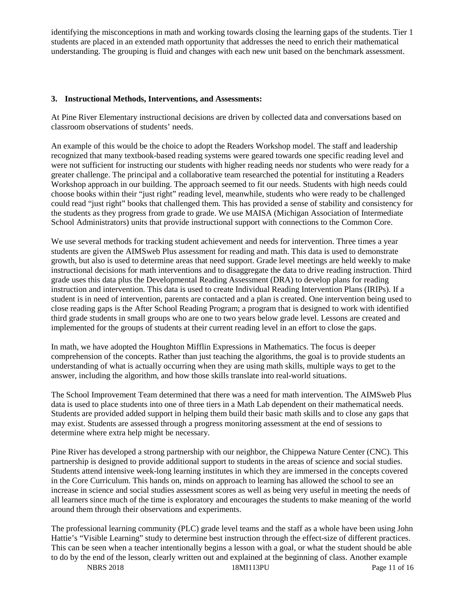identifying the misconceptions in math and working towards closing the learning gaps of the students. Tier 1 students are placed in an extended math opportunity that addresses the need to enrich their mathematical understanding. The grouping is fluid and changes with each new unit based on the benchmark assessment.

# **3. Instructional Methods, Interventions, and Assessments:**

At Pine River Elementary instructional decisions are driven by collected data and conversations based on classroom observations of students' needs.

An example of this would be the choice to adopt the Readers Workshop model. The staff and leadership recognized that many textbook-based reading systems were geared towards one specific reading level and were not sufficient for instructing our students with higher reading needs nor students who were ready for a greater challenge. The principal and a collaborative team researched the potential for instituting a Readers Workshop approach in our building. The approach seemed to fit our needs. Students with high needs could choose books within their "just right" reading level, meanwhile, students who were ready to be challenged could read "just right" books that challenged them. This has provided a sense of stability and consistency for the students as they progress from grade to grade. We use MAISA (Michigan Association of Intermediate School Administrators) units that provide instructional support with connections to the Common Core.

We use several methods for tracking student achievement and needs for intervention. Three times a year students are given the AIMSweb Plus assessment for reading and math. This data is used to demonstrate growth, but also is used to determine areas that need support. Grade level meetings are held weekly to make instructional decisions for math interventions and to disaggregate the data to drive reading instruction. Third grade uses this data plus the Developmental Reading Assessment (DRA) to develop plans for reading instruction and intervention. This data is used to create Individual Reading Intervention Plans (IRIPs). If a student is in need of intervention, parents are contacted and a plan is created. One intervention being used to close reading gaps is the After School Reading Program; a program that is designed to work with identified third grade students in small groups who are one to two years below grade level. Lessons are created and implemented for the groups of students at their current reading level in an effort to close the gaps.

In math, we have adopted the Houghton Mifflin Expressions in Mathematics. The focus is deeper comprehension of the concepts. Rather than just teaching the algorithms, the goal is to provide students an understanding of what is actually occurring when they are using math skills, multiple ways to get to the answer, including the algorithm, and how those skills translate into real-world situations.

The School Improvement Team determined that there was a need for math intervention. The AIMSweb Plus data is used to place students into one of three tiers in a Math Lab dependent on their mathematical needs. Students are provided added support in helping them build their basic math skills and to close any gaps that may exist. Students are assessed through a progress monitoring assessment at the end of sessions to determine where extra help might be necessary.

Pine River has developed a strong partnership with our neighbor, the Chippewa Nature Center (CNC). This partnership is designed to provide additional support to students in the areas of science and social studies. Students attend intensive week-long learning institutes in which they are immersed in the concepts covered in the Core Curriculum. This hands on, minds on approach to learning has allowed the school to see an increase in science and social studies assessment scores as well as being very useful in meeting the needs of all learners since much of the time is exploratory and encourages the students to make meaning of the world around them through their observations and experiments.

The professional learning community (PLC) grade level teams and the staff as a whole have been using John Hattie's "Visible Learning" study to determine best instruction through the effect-size of different practices. This can be seen when a teacher intentionally begins a lesson with a goal, or what the student should be able to do by the end of the lesson, clearly written out and explained at the beginning of class. Another example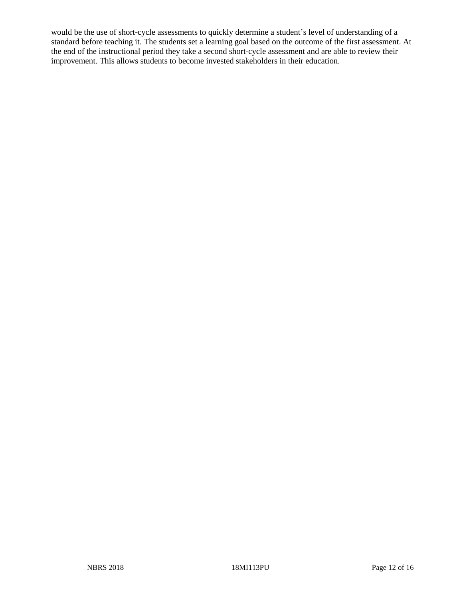would be the use of short-cycle assessments to quickly determine a student's level of understanding of a standard before teaching it. The students set a learning goal based on the outcome of the first assessment. At the end of the instructional period they take a second short-cycle assessment and are able to review their improvement. This allows students to become invested stakeholders in their education.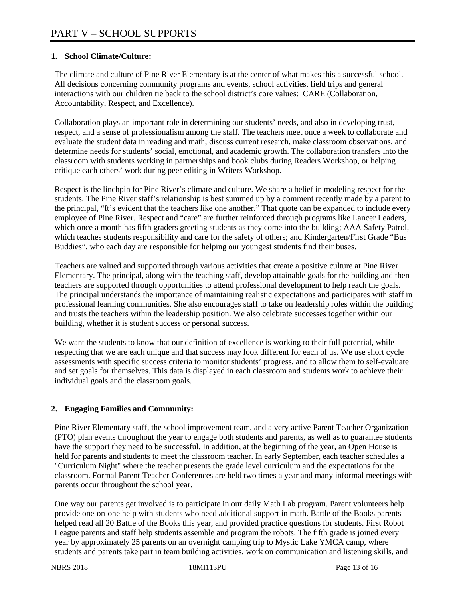# **1. School Climate/Culture:**

The climate and culture of Pine River Elementary is at the center of what makes this a successful school. All decisions concerning community programs and events, school activities, field trips and general interactions with our children tie back to the school district's core values: CARE (Collaboration, Accountability, Respect, and Excellence).

Collaboration plays an important role in determining our students' needs, and also in developing trust, respect, and a sense of professionalism among the staff. The teachers meet once a week to collaborate and evaluate the student data in reading and math, discuss current research, make classroom observations, and determine needs for students' social, emotional, and academic growth. The collaboration transfers into the classroom with students working in partnerships and book clubs during Readers Workshop, or helping critique each others' work during peer editing in Writers Workshop.

Respect is the linchpin for Pine River's climate and culture. We share a belief in modeling respect for the students. The Pine River staff's relationship is best summed up by a comment recently made by a parent to the principal, "It's evident that the teachers like one another." That quote can be expanded to include every employee of Pine River. Respect and "care" are further reinforced through programs like Lancer Leaders, which once a month has fifth graders greeting students as they come into the building; AAA Safety Patrol, which teaches students responsibility and care for the safety of others; and Kindergarten/First Grade "Bus Buddies", who each day are responsible for helping our youngest students find their buses.

Teachers are valued and supported through various activities that create a positive culture at Pine River Elementary. The principal, along with the teaching staff, develop attainable goals for the building and then teachers are supported through opportunities to attend professional development to help reach the goals. The principal understands the importance of maintaining realistic expectations and participates with staff in professional learning communities. She also encourages staff to take on leadership roles within the building and trusts the teachers within the leadership position. We also celebrate successes together within our building, whether it is student success or personal success.

We want the students to know that our definition of excellence is working to their full potential, while respecting that we are each unique and that success may look different for each of us. We use short cycle assessments with specific success criteria to monitor students' progress, and to allow them to self-evaluate and set goals for themselves. This data is displayed in each classroom and students work to achieve their individual goals and the classroom goals.

# **2. Engaging Families and Community:**

Pine River Elementary staff, the school improvement team, and a very active Parent Teacher Organization (PTO) plan events throughout the year to engage both students and parents, as well as to guarantee students have the support they need to be successful. In addition, at the beginning of the year, an Open House is held for parents and students to meet the classroom teacher. In early September, each teacher schedules a "Curriculum Night" where the teacher presents the grade level curriculum and the expectations for the classroom. Formal Parent-Teacher Conferences are held two times a year and many informal meetings with parents occur throughout the school year.

One way our parents get involved is to participate in our daily Math Lab program. Parent volunteers help provide one-on-one help with students who need additional support in math. Battle of the Books parents helped read all 20 Battle of the Books this year, and provided practice questions for students. First Robot League parents and staff help students assemble and program the robots. The fifth grade is joined every year by approximately 25 parents on an overnight camping trip to Mystic Lake YMCA camp, where students and parents take part in team building activities, work on communication and listening skills, and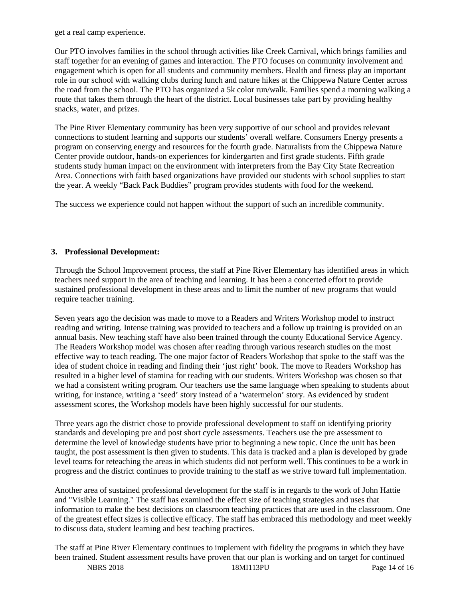get a real camp experience.

Our PTO involves families in the school through activities like Creek Carnival, which brings families and staff together for an evening of games and interaction. The PTO focuses on community involvement and engagement which is open for all students and community members. Health and fitness play an important role in our school with walking clubs during lunch and nature hikes at the Chippewa Nature Center across the road from the school. The PTO has organized a 5k color run/walk. Families spend a morning walking a route that takes them through the heart of the district. Local businesses take part by providing healthy snacks, water, and prizes.

The Pine River Elementary community has been very supportive of our school and provides relevant connections to student learning and supports our students' overall welfare. Consumers Energy presents a program on conserving energy and resources for the fourth grade. Naturalists from the Chippewa Nature Center provide outdoor, hands-on experiences for kindergarten and first grade students. Fifth grade students study human impact on the environment with interpreters from the Bay City State Recreation Area. Connections with faith based organizations have provided our students with school supplies to start the year. A weekly "Back Pack Buddies" program provides students with food for the weekend.

The success we experience could not happen without the support of such an incredible community.

# **3. Professional Development:**

Through the School Improvement process, the staff at Pine River Elementary has identified areas in which teachers need support in the area of teaching and learning. It has been a concerted effort to provide sustained professional development in these areas and to limit the number of new programs that would require teacher training.

Seven years ago the decision was made to move to a Readers and Writers Workshop model to instruct reading and writing. Intense training was provided to teachers and a follow up training is provided on an annual basis. New teaching staff have also been trained through the county Educational Service Agency. The Readers Workshop model was chosen after reading through various research studies on the most effective way to teach reading. The one major factor of Readers Workshop that spoke to the staff was the idea of student choice in reading and finding their 'just right' book. The move to Readers Workshop has resulted in a higher level of stamina for reading with our students. Writers Workshop was chosen so that we had a consistent writing program. Our teachers use the same language when speaking to students about writing, for instance, writing a 'seed' story instead of a 'watermelon' story. As evidenced by student assessment scores, the Workshop models have been highly successful for our students.

Three years ago the district chose to provide professional development to staff on identifying priority standards and developing pre and post short cycle assessments. Teachers use the pre assessment to determine the level of knowledge students have prior to beginning a new topic. Once the unit has been taught, the post assessment is then given to students. This data is tracked and a plan is developed by grade level teams for reteaching the areas in which students did not perform well. This continues to be a work in progress and the district continues to provide training to the staff as we strive toward full implementation.

Another area of sustained professional development for the staff is in regards to the work of John Hattie and "Visible Learning." The staff has examined the effect size of teaching strategies and uses that information to make the best decisions on classroom teaching practices that are used in the classroom. One of the greatest effect sizes is collective efficacy. The staff has embraced this methodology and meet weekly to discuss data, student learning and best teaching practices.

The staff at Pine River Elementary continues to implement with fidelity the programs in which they have been trained. Student assessment results have proven that our plan is working and on target for continued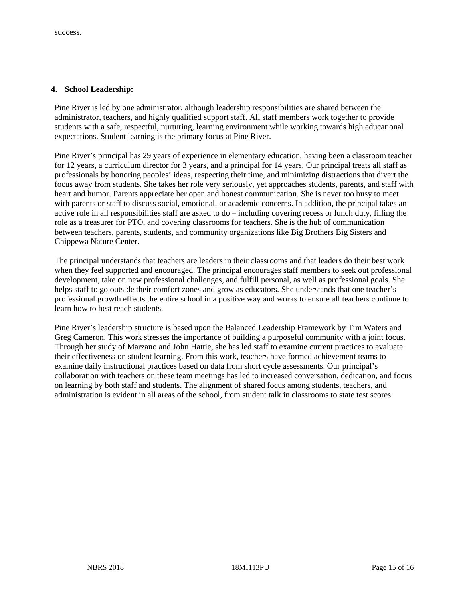#### **4. School Leadership:**

Pine River is led by one administrator, although leadership responsibilities are shared between the administrator, teachers, and highly qualified support staff. All staff members work together to provide students with a safe, respectful, nurturing, learning environment while working towards high educational expectations. Student learning is the primary focus at Pine River.

Pine River's principal has 29 years of experience in elementary education, having been a classroom teacher for 12 years, a curriculum director for 3 years, and a principal for 14 years. Our principal treats all staff as professionals by honoring peoples' ideas, respecting their time, and minimizing distractions that divert the focus away from students. She takes her role very seriously, yet approaches students, parents, and staff with heart and humor. Parents appreciate her open and honest communication. She is never too busy to meet with parents or staff to discuss social, emotional, or academic concerns. In addition, the principal takes an active role in all responsibilities staff are asked to do – including covering recess or lunch duty, filling the role as a treasurer for PTO, and covering classrooms for teachers. She is the hub of communication between teachers, parents, students, and community organizations like Big Brothers Big Sisters and Chippewa Nature Center.

The principal understands that teachers are leaders in their classrooms and that leaders do their best work when they feel supported and encouraged. The principal encourages staff members to seek out professional development, take on new professional challenges, and fulfill personal, as well as professional goals. She helps staff to go outside their comfort zones and grow as educators. She understands that one teacher's professional growth effects the entire school in a positive way and works to ensure all teachers continue to learn how to best reach students.

Pine River's leadership structure is based upon the Balanced Leadership Framework by Tim Waters and Greg Cameron. This work stresses the importance of building a purposeful community with a joint focus. Through her study of Marzano and John Hattie, she has led staff to examine current practices to evaluate their effectiveness on student learning. From this work, teachers have formed achievement teams to examine daily instructional practices based on data from short cycle assessments. Our principal's collaboration with teachers on these team meetings has led to increased conversation, dedication, and focus on learning by both staff and students. The alignment of shared focus among students, teachers, and administration is evident in all areas of the school, from student talk in classrooms to state test scores.